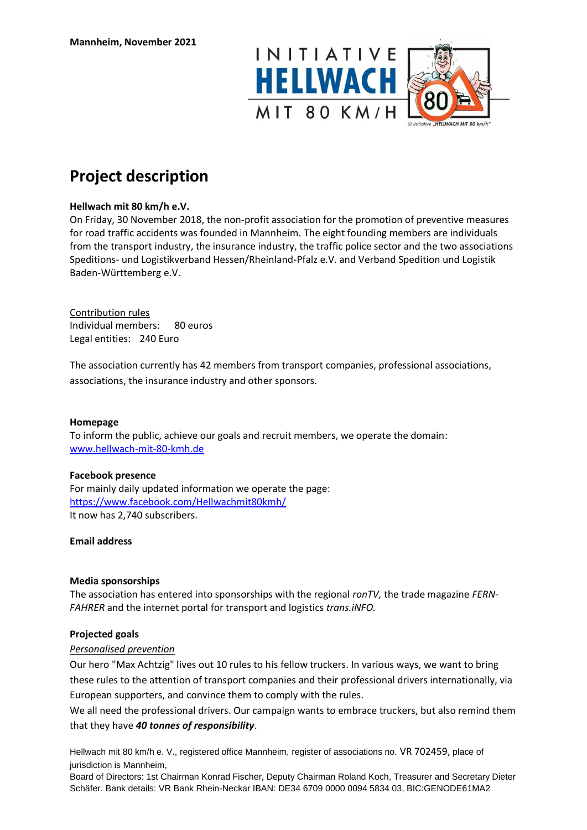



# **Project description**

# **Hellwach mit 80 km/h e.V.**

On Friday, 30 November 2018, the non-profit association for the promotion of preventive measures for road traffic accidents was founded in Mannheim. The eight founding members are individuals from the transport industry, the insurance industry, the traffic police sector and the two associations Speditions- und Logistikverband Hessen/Rheinland-Pfalz e.V. and Verband Spedition und Logistik Baden-Württemberg e.V.

## Contribution rules

Individual members: 80 euros Legal entities: 240 Euro

The association currently has 42 members from transport companies, professional associations, associations, the insurance industry and other sponsors.

## **Homepage**

To inform the public, achieve our goals and recruit members, we operate the domain: [www.hellwach-mit-80-kmh.de](http://www.hellwach-mit-80-kmh.de/)

## **Facebook presence**

For mainly daily updated information we operate the page: <https://www.facebook.com/Hellwachmit80kmh/> It now has 2,740 subscribers.

## **Email address**

# **Media sponsorships**

The association has entered into sponsorships with the regional *ronTV,* the trade magazine *FERN-FAHRER* and the internet portal for transport and logistics *trans.iNFO.* 

## **Projected goals**

## *Personalised prevention*

Our hero "Max Achtzig" lives out 10 rules to his fellow truckers. In various ways, we want to bring these rules to the attention of transport companies and their professional drivers internationally, via European supporters, and convince them to comply with the rules.

We all need the professional drivers. Our campaign wants to embrace truckers, but also remind them that they have *40 tonnes of responsibility*.

Hellwach mit 80 km/h e. V., registered office Mannheim, register of associations no. VR 702459, place of jurisdiction is Mannheim,

Board of Directors: 1st Chairman Konrad Fischer, Deputy Chairman Roland Koch, Treasurer and Secretary Dieter Schäfer. Bank details: VR Bank Rhein-Neckar IBAN: DE34 6709 0000 0094 5834 03, BIC:GENODE61MA2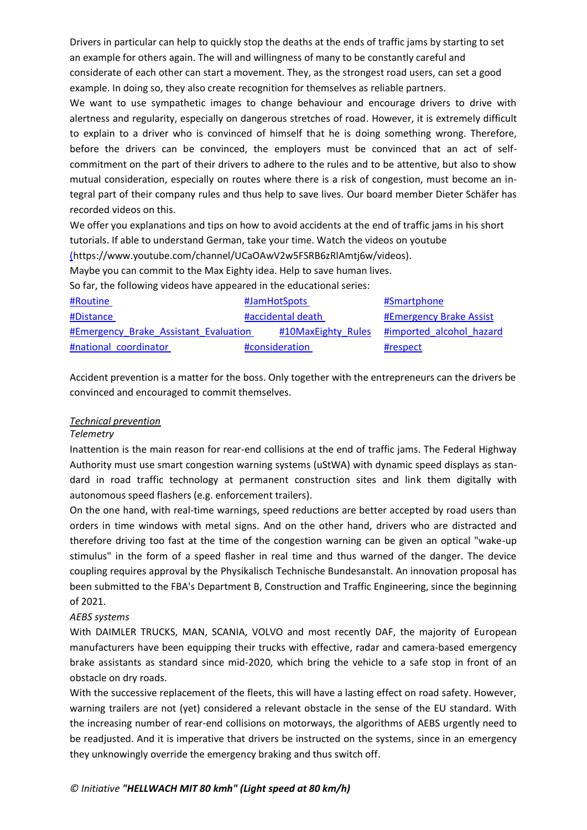Drivers in particular can help to quickly stop the deaths at the ends of traffic jams by starting to set an example for others again. The will and willingness of many to be constantly careful and considerate of each other can start a movement. They, as the strongest road users, can set a good example. In doing so, they also create recognition for themselves as reliable partners.

We want to use sympathetic images to change behaviour and encourage drivers to drive with alertness and regularity, especially on dangerous stretches of road. However, it is extremely difficult to explain to a driver who is convinced of himself that he is doing something wrong. Therefore, before the drivers can be convinced, the employers must be convinced that an act of selfcommitment on the part of their drivers to adhere to the rules and to be attentive, but also to show mutual consideration, especially on routes where there is a risk of congestion, must become an integral part of their company rules and thus help to save lives. Our board member Dieter Schäfer has recorded videos on this.

We offer you explanations and tips on how to avoid accidents at the end of [traffic](https://www.facebook.com/hashtag/stauende?__eep__=6&__cft__%5b0%5d=AZXM6dcefC5mwHrj6Df5XmFQidT67sD1aBO5TzgYHgtEP1AxVaRTGvZJIfwaJvGEc2dY4Q1o_WaUSjVqMdOfsFsuTE8BDw_FDEevWGNfSKWvYknyQnjqkxDbctP0I5UDbl6LaLsDgXIDIcQAkLdFZGrmr-1V3dz6fZTSvdMgbMNVog&__tn__=*NK-R) jams in hi[s short](https://www.facebook.com/hashtag/feierabendgedanken?__eep__=6&__cft__%5b0%5d=AZXM6dcefC5mwHrj6Df5XmFQidT67sD1aBO5TzgYHgtEP1AxVaRTGvZJIfwaJvGEc2dY4Q1o_WaUSjVqMdOfsFsuTE8BDw_FDEevWGNfSKWvYknyQnjqkxDbctP0I5UDbl6LaLsDgXIDIcQAkLdFZGrmr-1V3dz6fZTSvdMgbMNVog&__tn__=*NK-R) [tutorials.](https://www.facebook.com/hashtag/feierabendgedanken?__eep__=6&__cft__%5b0%5d=AZXM6dcefC5mwHrj6Df5XmFQidT67sD1aBO5TzgYHgtEP1AxVaRTGvZJIfwaJvGEc2dY4Q1o_WaUSjVqMdOfsFsuTE8BDw_FDEevWGNfSKWvYknyQnjqkxDbctP0I5UDbl6LaLsDgXIDIcQAkLdFZGrmr-1V3dz6fZTSvdMgbMNVog&__tn__=*NK-R) If able to understand German, take your time. Watch the videos on youtube [\(h](https://www.youtube.com/channel/UCaOAwV2w5FSRB6zRlAmtj6w/videos)ttps://www.youtube.com/channel/UCaOAwV2w5FSRB6zRlAmtj6w/videos).

Maybe you can commit to the Max Eighty idea. Help to save human lives.

So far, the following videos have appeared in the educational series:

| #Routine                              | #JamHotSpots       | #Smartphone              |
|---------------------------------------|--------------------|--------------------------|
| #Distance                             | #accidental death  | #Emergency Brake Assist  |
| #Emergency Brake Assistant Evaluation | #10MaxEighty Rules | #imported alcohol hazard |
| #national coordinator                 | #consideration     | #respect                 |

Accident prevention is a matter for the boss. Only together with the entrepreneurs can the drivers be convinced and encouraged to commit themselves.

# *Technical prevention*

## *Telemetry*

Inattention is the main reason for rear-end collisions at the end of traffic jams. The Federal Highway Authority must use smart congestion warning systems (uStWA) with dynamic speed displays as standard in road traffic technology at permanent construction sites and link them digitally with autonomous speed flashers (e.g. enforcement trailers).

On the one hand, with real-time warnings, speed reductions are better accepted by road users than orders in time windows with metal signs. And on the other hand, drivers who are distracted and therefore driving too fast at the time of the congestion warning can be given an optical "wake-up stimulus" in the form of a speed flasher in real time and thus warned of the danger. The device coupling requires approval by the Physikalisch Technische Bundesanstalt. An innovation proposal has been submitted to the FBA's Department B, Construction and Traffic Engineering, since the beginning of 2021.

## *AEBS systems*

With DAIMLER TRUCKS, MAN, SCANIA, VOLVO and most recently DAF, the majority of European manufacturers have been equipping their trucks with effective, radar and camera-based emergency brake assistants as standard since mid-2020, which bring the vehicle to a safe stop in front of an obstacle on dry roads.

With the successive replacement of the fleets, this will have a lasting effect on road safety. However, warning trailers are not (yet) considered a relevant obstacle in the sense of the EU standard. With the increasing number of rear-end collisions on motorways, the algorithms of AEBS urgently need to be readjusted. And it is imperative that drivers be instructed on the systems, since in an emergency they unknowingly override the emergency braking and thus switch off.